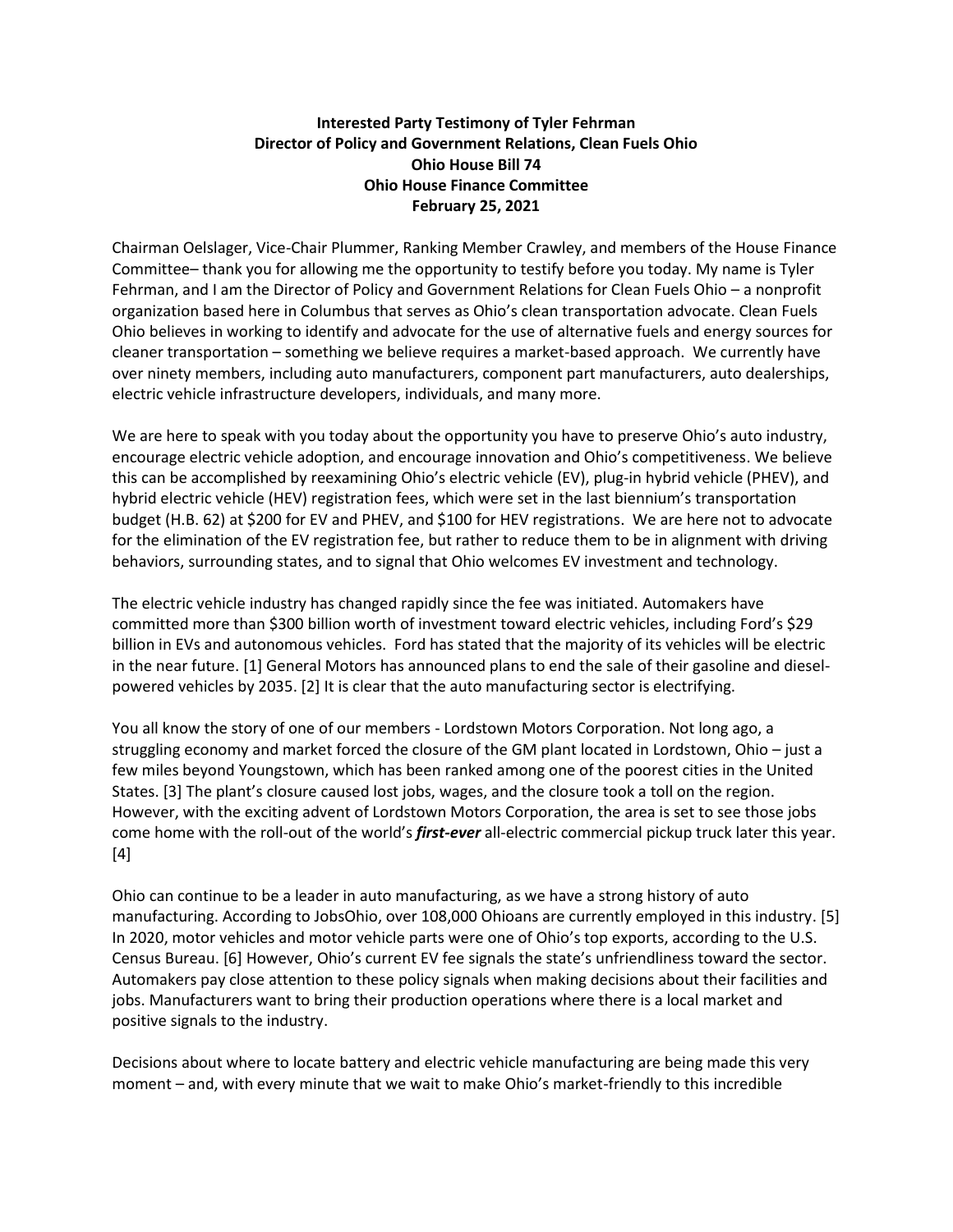## **Interested Party Testimony of Tyler Fehrman Director of Policy and Government Relations, Clean Fuels Ohio Ohio House Bill 74 Ohio House Finance Committee February 25, 2021**

Chairman Oelslager, Vice-Chair Plummer, Ranking Member Crawley, and members of the House Finance Committee– thank you for allowing me the opportunity to testify before you today. My name is Tyler Fehrman, and I am the Director of Policy and Government Relations for Clean Fuels Ohio – a nonprofit organization based here in Columbus that serves as Ohio's clean transportation advocate. Clean Fuels Ohio believes in working to identify and advocate for the use of alternative fuels and energy sources for cleaner transportation – something we believe requires a market-based approach. We currently have over ninety members, including auto manufacturers, component part manufacturers, auto dealerships, electric vehicle infrastructure developers, individuals, and many more.

We are here to speak with you today about the opportunity you have to preserve Ohio's auto industry, encourage electric vehicle adoption, and encourage innovation and Ohio's competitiveness. We believe this can be accomplished by reexamining Ohio's electric vehicle (EV), plug-in hybrid vehicle (PHEV), and hybrid electric vehicle (HEV) registration fees, which were set in the last biennium's transportation budget (H.B. 62) at \$200 for EV and PHEV, and \$100 for HEV registrations. We are here not to advocate for the elimination of the EV registration fee, but rather to reduce them to be in alignment with driving behaviors, surrounding states, and to signal that Ohio welcomes EV investment and technology.

The electric vehicle industry has changed rapidly since the fee was initiated. Automakers have committed more than \$300 billion worth of investment toward electric vehicles, including Ford's \$29 billion in EVs and autonomous vehicles. Ford has stated that the majority of its vehicles will be electric in the near future. [1] General Motors has announced plans to end the sale of their gasoline and dieselpowered vehicles by 2035. [2] It is clear that the auto manufacturing sector is electrifying.

You all know the story of one of our members - Lordstown Motors Corporation. Not long ago, a struggling economy and market forced the closure of the GM plant located in Lordstown, Ohio – just a few miles beyond Youngstown, which has been ranked among one of the poorest cities in the United States. [3] The plant's closure caused lost jobs, wages, and the closure took a toll on the region. However, with the exciting advent of Lordstown Motors Corporation, the area is set to see those jobs come home with the roll-out of the world's *first-ever* all-electric commercial pickup truck later this year. [4]

Ohio can continue to be a leader in auto manufacturing, as we have a strong history of auto manufacturing. According to JobsOhio, over 108,000 Ohioans are currently employed in this industry. [5] In 2020, motor vehicles and motor vehicle parts were one of Ohio's top exports, according to the U.S. Census Bureau. [6] However, Ohio's current EV fee signals the state's unfriendliness toward the sector. Automakers pay close attention to these policy signals when making decisions about their facilities and jobs. Manufacturers want to bring their production operations where there is a local market and positive signals to the industry.

Decisions about where to locate battery and electric vehicle manufacturing are being made this very moment – and, with every minute that we wait to make Ohio's market-friendly to this incredible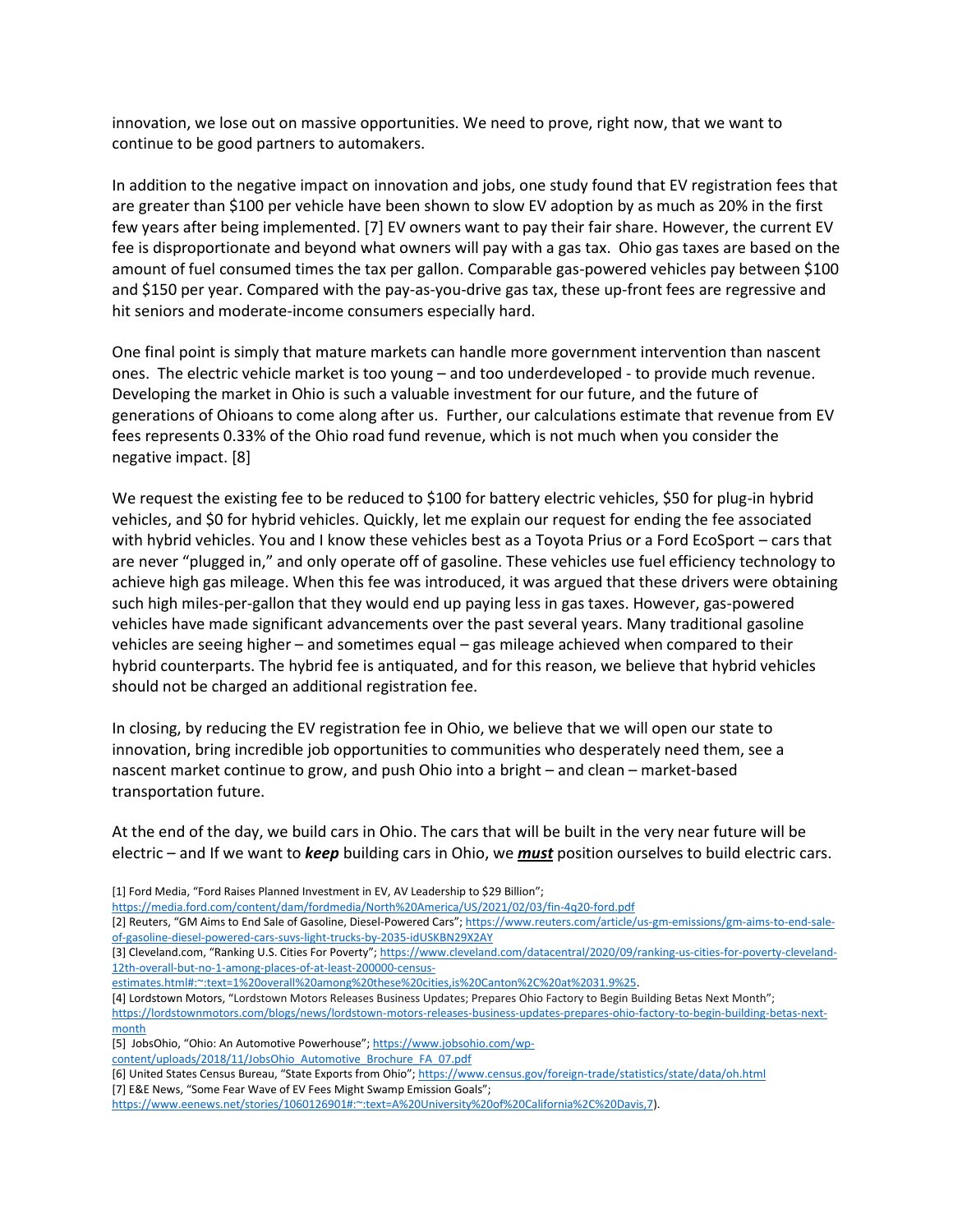innovation, we lose out on massive opportunities. We need to prove, right now, that we want to continue to be good partners to automakers.

In addition to the negative impact on innovation and jobs, one study found that EV registration fees that are greater than \$100 per vehicle have been shown to slow EV adoption by as much as 20% in the first few years after being implemented. [7] EV owners want to pay their fair share. However, the current EV fee is disproportionate and beyond what owners will pay with a gas tax. Ohio gas taxes are based on the amount of fuel consumed times the tax per gallon. Comparable gas-powered vehicles pay between \$100 and \$150 per year. Compared with the pay-as-you-drive gas tax, these up-front fees are regressive and hit seniors and moderate-income consumers especially hard.

One final point is simply that mature markets can handle more government intervention than nascent ones. The electric vehicle market is too young – and too underdeveloped - to provide much revenue. Developing the market in Ohio is such a valuable investment for our future, and the future of generations of Ohioans to come along after us. Further, our calculations estimate that revenue from EV fees represents 0.33% of the Ohio road fund revenue, which is not much when you consider the negative impact. [8]

We request the existing fee to be reduced to \$100 for battery electric vehicles, \$50 for plug-in hybrid vehicles, and \$0 for hybrid vehicles. Quickly, let me explain our request for ending the fee associated with hybrid vehicles. You and I know these vehicles best as a Toyota Prius or a Ford EcoSport – cars that are never "plugged in," and only operate off of gasoline. These vehicles use fuel efficiency technology to achieve high gas mileage. When this fee was introduced, it was argued that these drivers were obtaining such high miles-per-gallon that they would end up paying less in gas taxes. However, gas-powered vehicles have made significant advancements over the past several years. Many traditional gasoline vehicles are seeing higher – and sometimes equal – gas mileage achieved when compared to their hybrid counterparts. The hybrid fee is antiquated, and for this reason, we believe that hybrid vehicles should not be charged an additional registration fee.

In closing, by reducing the EV registration fee in Ohio, we believe that we will open our state to innovation, bring incredible job opportunities to communities who desperately need them, see a nascent market continue to grow, and push Ohio into a bright – and clean – market-based transportation future.

At the end of the day, we build cars in Ohio. The cars that will be built in the very near future will be electric – and If we want to *keep* building cars in Ohio, we *must* position ourselves to build electric cars.

[1] Ford Media, "Ford Raises Planned Investment in EV, AV Leadership to \$29 Billion";

<https://media.ford.com/content/dam/fordmedia/North%20America/US/2021/02/03/fin-4q20-ford.pdf>

[2] Reuters, "GM Aims to End Sale of Gasoline, Diesel-Powered Cars"; [https://www.reuters.com/article/us-gm-emissions/gm-aims-to-end-sale](https://www.reuters.com/article/us-gm-emissions/gm-aims-to-end-sale-of-gasoline-diesel-powered-cars-suvs-light-trucks-by-2035-idUSKBN29X2AY)[of-gasoline-diesel-powered-cars-suvs-light-trucks-by-2035-idUSKBN29X2AY](https://www.reuters.com/article/us-gm-emissions/gm-aims-to-end-sale-of-gasoline-diesel-powered-cars-suvs-light-trucks-by-2035-idUSKBN29X2AY)

[3] Cleveland.com, "Ranking U.S. Cities For Poverty"; [https://www.cleveland.com/datacentral/2020/09/ranking-us-cities-for-poverty-cleveland-](https://www.cleveland.com/datacentral/2020/09/ranking-us-cities-for-poverty-cleveland-12th-overall-but-no-1-among-places-of-at-least-200000-census-estimates.html#:~:text=1%20overall%20among%20these%20cities,is%20Canton%2C%20at%2031.9%25)[12th-overall-but-no-1-among-places-of-at-least-200000-census-](https://www.cleveland.com/datacentral/2020/09/ranking-us-cities-for-poverty-cleveland-12th-overall-but-no-1-among-places-of-at-least-200000-census-estimates.html#:~:text=1%20overall%20among%20these%20cities,is%20Canton%2C%20at%2031.9%25)

[estimates.html#:~:text=1%20overall%20among%20these%20cities,is%20Canton%2C%20at%2031.9%25.](https://www.cleveland.com/datacentral/2020/09/ranking-us-cities-for-poverty-cleveland-12th-overall-but-no-1-among-places-of-at-least-200000-census-estimates.html#:~:text=1%20overall%20among%20these%20cities,is%20Canton%2C%20at%2031.9%25)

[4] Lordstown Motors, "Lordstown Motors Releases Business Updates; Prepares Ohio Factory to Begin Building Betas Next Month"; [https://lordstownmotors.com/blogs/news/lordstown-motors-releases-business-updates-prepares-ohio-factory-to-begin-building-betas-next](https://lordstownmotors.com/blogs/news/lordstown-motors-releases-business-updates-prepares-ohio-factory-to-begin-building-betas-next-month)[month](https://lordstownmotors.com/blogs/news/lordstown-motors-releases-business-updates-prepares-ohio-factory-to-begin-building-betas-next-month)

[5] JobsOhio, "Ohio: An Automotive Powerhouse"; [https://www.jobsohio.com/wp-](https://www.jobsohio.com/wp-content/uploads/2018/11/JobsOhio_Automotive_Brochure_FA_07.pdf)

[content/uploads/2018/11/JobsOhio\\_Automotive\\_Brochure\\_FA\\_07.pdf](https://www.jobsohio.com/wp-content/uploads/2018/11/JobsOhio_Automotive_Brochure_FA_07.pdf)

[6] United States Census Bureau, "State Exports from Ohio"; <https://www.census.gov/foreign-trade/statistics/state/data/oh.html> [7] E&E News, "Some Fear Wave of EV Fees Might Swamp Emission Goals";

[https://www.eenews.net/stories/1060126901#:~:text=A%20University%20of%20California%2C%20Davis,7\)](https://www.eenews.net/stories/1060126901#:~:text=A%20University%20of%20California%2C%20Davis,7).